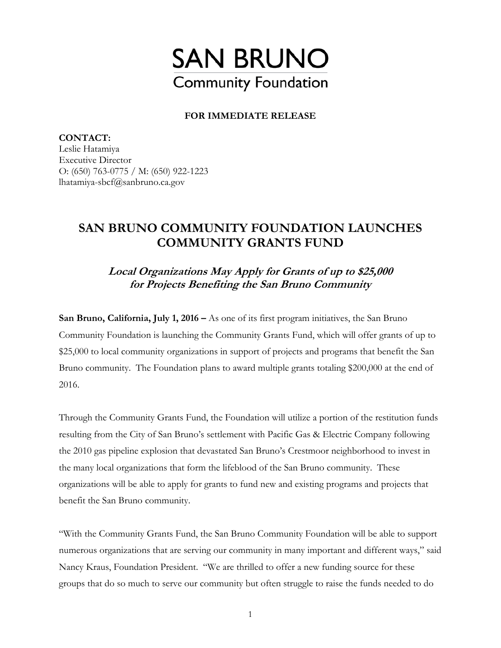

## **FOR IMMEDIATE RELEASE**

**CONTACT:**  Leslie Hatamiya Executive Director O: (650) 763-0775 / M: (650) 922-1223 lhatamiya-sbcf@sanbruno.ca.gov

## **SAN BRUNO COMMUNITY FOUNDATION LAUNCHES COMMUNITY GRANTS FUND**

**Local Organizations May Apply for Grants of up to \$25,000 for Projects Benefiting the San Bruno Community** 

**San Bruno, California, July 1, 2016 –** As one of its first program initiatives, the San Bruno Community Foundation is launching the Community Grants Fund, which will offer grants of up to \$25,000 to local community organizations in support of projects and programs that benefit the San Bruno community. The Foundation plans to award multiple grants totaling \$200,000 at the end of 2016.

Through the Community Grants Fund, the Foundation will utilize a portion of the restitution funds resulting from the City of San Bruno's settlement with Pacific Gas & Electric Company following the 2010 gas pipeline explosion that devastated San Bruno's Crestmoor neighborhood to invest in the many local organizations that form the lifeblood of the San Bruno community. These organizations will be able to apply for grants to fund new and existing programs and projects that benefit the San Bruno community.

"With the Community Grants Fund, the San Bruno Community Foundation will be able to support numerous organizations that are serving our community in many important and different ways," said Nancy Kraus, Foundation President. "We are thrilled to offer a new funding source for these groups that do so much to serve our community but often struggle to raise the funds needed to do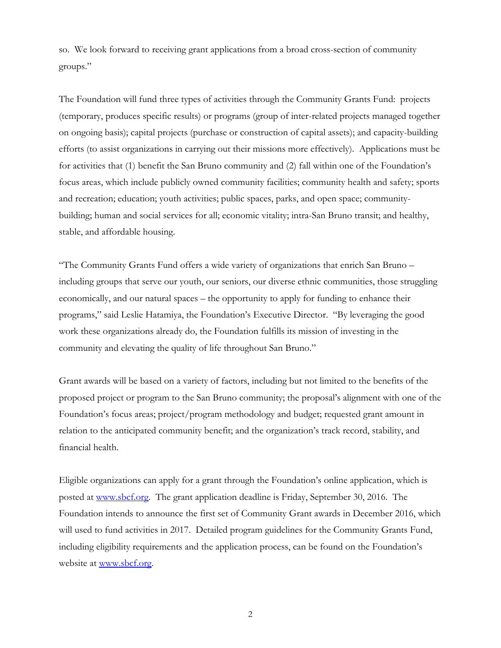so. We look forward to receiving grant applications from a broad cross-section of community groups."

The Foundation will fund three types of activities through the Community Grants Fund: projects (temporary, produces specific results) or programs (group of inter-related projects managed together on ongoing basis); capital projects (purchase or construction of capital assets); and capacity-building efforts (to assist organizations in carrying out their missions more effectively). Applications must be for activities that (1) benefit the San Bruno community and (2) fall within one of the Foundation's focus areas, which include publicly owned community facilities; community health and safety; sports and recreation; education; youth activities; public spaces, parks, and open space; communitybuilding; human and social services for all; economic vitality; intra-San Bruno transit; and healthy, stable, and affordable housing.

"The Community Grants Fund offers a wide variety of organizations that enrich San Bruno – including groups that serve our youth, our seniors, our diverse ethnic communities, those struggling economically, and our natural spaces – the opportunity to apply for funding to enhance their programs," said Leslie Hatamiya, the Foundation's Executive Director. "By leveraging the good work these organizations already do, the Foundation fulfills its mission of investing in the community and elevating the quality of life throughout San Bruno."

Grant awards will be based on a variety of factors, including but not limited to the benefits of the proposed project or program to the San Bruno community; the proposal's alignment with one of the Foundation's focus areas; project/program methodology and budget; requested grant amount in relation to the anticipated community benefit; and the organization's track record, stability, and financial health.

Eligible organizations can apply for a grant through the Foundation's online application, which is posted at www.sbcf.org. The grant application deadline is Friday, September 30, 2016. The Foundation intends to announce the first set of Community Grant awards in December 2016, which will used to fund activities in 2017. Detailed program guidelines for the Community Grants Fund, including eligibility requirements and the application process, can be found on the Foundation's website at www.sbcf.org.

2